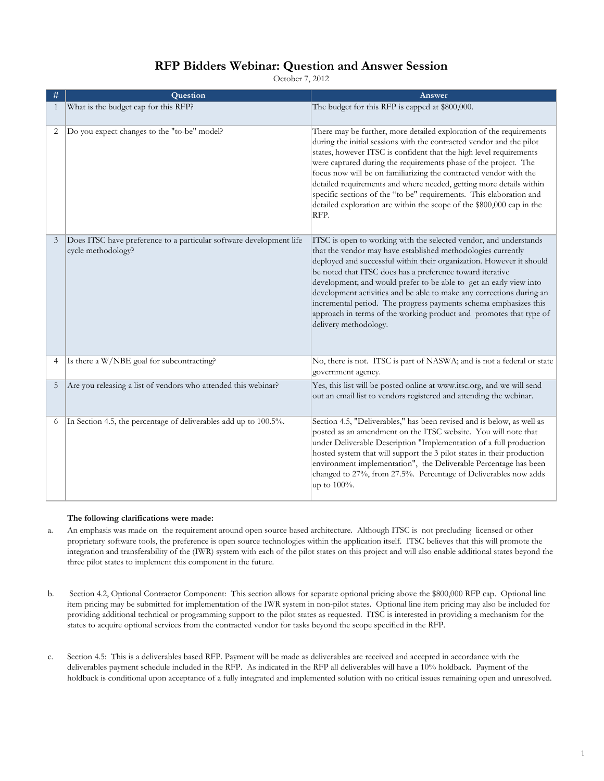#### **RFP Bidders Webinar: Question and Answer Session**

October 7, 2012

| #              | Question                                                                                  | Answer                                                                                                                                                                                                                                                                                                                                                                                                                                                                                                                                                                                   |
|----------------|-------------------------------------------------------------------------------------------|------------------------------------------------------------------------------------------------------------------------------------------------------------------------------------------------------------------------------------------------------------------------------------------------------------------------------------------------------------------------------------------------------------------------------------------------------------------------------------------------------------------------------------------------------------------------------------------|
| 1              | What is the budget cap for this RFP?                                                      | The budget for this RFP is capped at \$800,000.                                                                                                                                                                                                                                                                                                                                                                                                                                                                                                                                          |
| 2              | Do you expect changes to the "to-be" model?                                               | There may be further, more detailed exploration of the requirements<br>during the initial sessions with the contracted vendor and the pilot<br>states, however ITSC is confident that the high level requirements<br>were captured during the requirements phase of the project. The<br>focus now will be on familiarizing the contracted vendor with the<br>detailed requirements and where needed, getting more details within<br>specific sections of the "to be" requirements. This elaboration and<br>detailed exploration are within the scope of the \$800,000 cap in the<br>RFP. |
| 3              | Does ITSC have preference to a particular software development life<br>cycle methodology? | ITSC is open to working with the selected vendor, and understands<br>that the vendor may have established methodologies currently<br>deployed and successful within their organization. However it should<br>be noted that ITSC does has a preference toward iterative<br>development; and would prefer to be able to get an early view into<br>development activities and be able to make any corrections during an<br>incremental period. The progress payments schema emphasizes this<br>approach in terms of the working product and promotes that type of<br>delivery methodology.  |
| $\overline{4}$ | Is there a W/NBE goal for subcontracting?                                                 | No, there is not. ITSC is part of NASWA; and is not a federal or state<br>government agency.                                                                                                                                                                                                                                                                                                                                                                                                                                                                                             |
| 5              | Are you releasing a list of vendors who attended this webinar?                            | Yes, this list will be posted online at www.itsc.org, and we will send<br>out an email list to vendors registered and attending the webinar.                                                                                                                                                                                                                                                                                                                                                                                                                                             |
| 6              | In Section 4.5, the percentage of deliverables add up to 100.5%.                          | Section 4.5, "Deliverables," has been revised and is below, as well as<br>posted as an amendment on the ITSC website. You will note that<br>under Deliverable Description "Implementation of a full production<br>hosted system that will support the 3 pilot states in their production<br>environment implementation", the Deliverable Percentage has been<br>changed to 27%, from 27.5%. Percentage of Deliverables now adds<br>up to 100%.                                                                                                                                           |

#### **The following clarifications were made:**

- a. An emphasis was made on the requirement around open source based architecture. Although ITSC is not precluding licensed or other proprietary software tools, the preference is open source technologies within the application itself. ITSC believes that this will promote the integration and transferability of the (IWR) system with each of the pilot states on this project and will also enable additional states beyond the three pilot states to implement this component in the future.
- b. Section 4.2, Optional Contractor Component: This section allows for separate optional pricing above the \$800,000 RFP cap. Optional line item pricing may be submitted for implementation of the IWR system in non-pilot states. Optional line item pricing may also be included for providing additional technical or programming support to the pilot states as requested. ITSC is interested in providing a mechanism for the states to acquire optional services from the contracted vendor for tasks beyond the scope specified in the RFP.
- c. Section 4.5: This is a deliverables based RFP. Payment will be made as deliverables are received and accepted in accordance with the deliverables payment schedule included in the RFP. As indicated in the RFP all deliverables will have a 10% holdback. Payment of the holdback is conditional upon acceptance of a fully integrated and implemented solution with no critical issues remaining open and unresolved.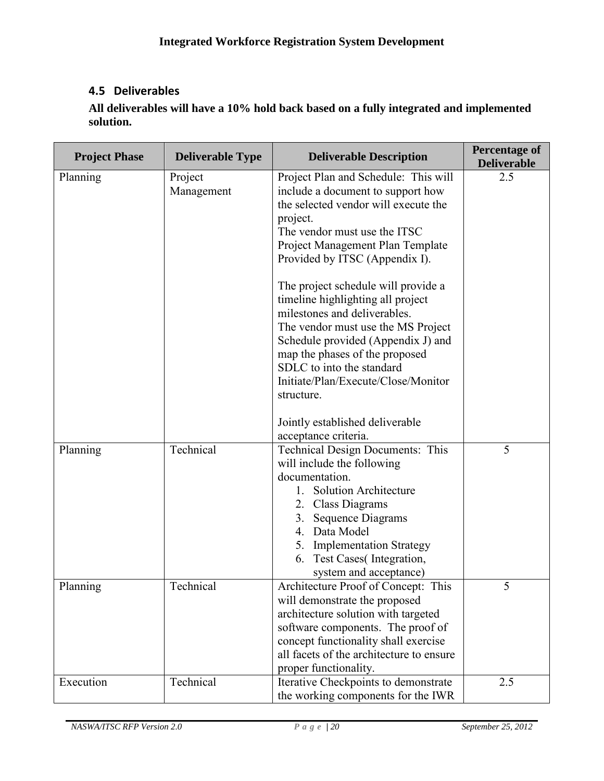### **4.5 Deliverables**

**All deliverables will have a 10% hold back based on a fully integrated and implemented solution.** 

| <b>Project Phase</b> | <b>Deliverable Type</b> | <b>Deliverable Description</b>                                                                                                                                                                                                                                                                                                                                                                                                                                                                                                                  | <b>Percentage of</b><br><b>Deliverable</b> |
|----------------------|-------------------------|-------------------------------------------------------------------------------------------------------------------------------------------------------------------------------------------------------------------------------------------------------------------------------------------------------------------------------------------------------------------------------------------------------------------------------------------------------------------------------------------------------------------------------------------------|--------------------------------------------|
| Planning             | Project<br>Management   | Project Plan and Schedule: This will<br>include a document to support how<br>the selected vendor will execute the<br>project.<br>The vendor must use the ITSC<br>Project Management Plan Template<br>Provided by ITSC (Appendix I).<br>The project schedule will provide a<br>timeline highlighting all project<br>milestones and deliverables.<br>The vendor must use the MS Project<br>Schedule provided (Appendix J) and<br>map the phases of the proposed<br>SDLC to into the standard<br>Initiate/Plan/Execute/Close/Monitor<br>structure. | 2.5                                        |
|                      |                         | Jointly established deliverable<br>acceptance criteria.                                                                                                                                                                                                                                                                                                                                                                                                                                                                                         |                                            |
| Planning             | Technical               | Technical Design Documents: This<br>will include the following<br>documentation.<br>1. Solution Architecture<br>2. Class Diagrams<br>3. Sequence Diagrams<br>4. Data Model<br>5. Implementation Strategy<br>6. Test Cases(Integration,<br>system and acceptance)                                                                                                                                                                                                                                                                                | 5                                          |
| Planning             | Technical               | Architecture Proof of Concept: This<br>will demonstrate the proposed<br>architecture solution with targeted<br>software components. The proof of<br>concept functionality shall exercise<br>all facets of the architecture to ensure<br>proper functionality.                                                                                                                                                                                                                                                                                   | 5                                          |
| Execution            | Technical               | Iterative Checkpoints to demonstrate<br>the working components for the IWR                                                                                                                                                                                                                                                                                                                                                                                                                                                                      | 2.5                                        |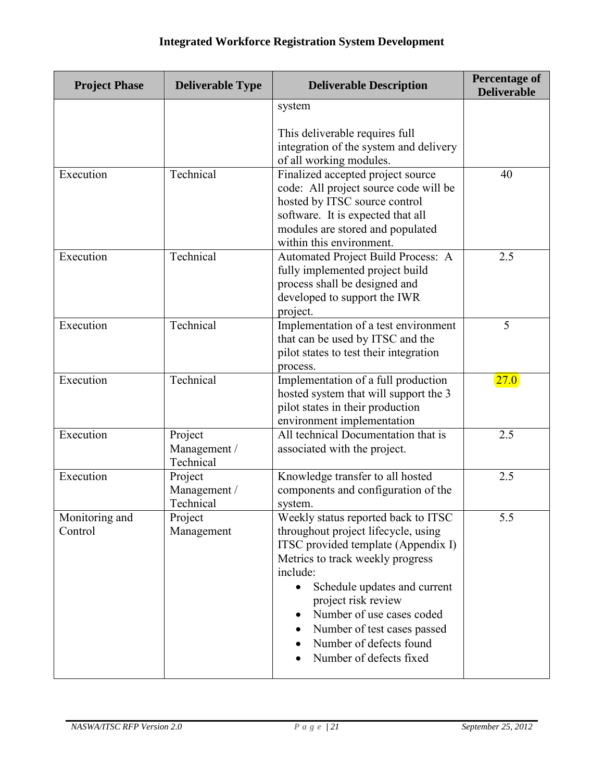# **Integrated Workforce Registration System Development**

| <b>Project Phase</b><br><b>Deliverable Type</b> |                                                                                                                                                                 | <b>Deliverable Description</b>                                                                                                                                                                                                                                                                                                             | <b>Percentage of</b><br><b>Deliverable</b> |
|-------------------------------------------------|-----------------------------------------------------------------------------------------------------------------------------------------------------------------|--------------------------------------------------------------------------------------------------------------------------------------------------------------------------------------------------------------------------------------------------------------------------------------------------------------------------------------------|--------------------------------------------|
|                                                 |                                                                                                                                                                 | system                                                                                                                                                                                                                                                                                                                                     |                                            |
|                                                 |                                                                                                                                                                 | This deliverable requires full<br>integration of the system and delivery<br>of all working modules.                                                                                                                                                                                                                                        |                                            |
| Execution                                       | Technical                                                                                                                                                       | Finalized accepted project source<br>code: All project source code will be<br>hosted by ITSC source control<br>software. It is expected that all<br>modules are stored and populated<br>within this environment.                                                                                                                           | 40                                         |
| Execution                                       | Technical<br>Automated Project Build Process: A<br>fully implemented project build<br>process shall be designed and<br>developed to support the IWR<br>project. |                                                                                                                                                                                                                                                                                                                                            | 2.5                                        |
| Execution                                       | Technical                                                                                                                                                       | Implementation of a test environment<br>that can be used by ITSC and the<br>pilot states to test their integration<br>process.                                                                                                                                                                                                             | 5                                          |
| Execution                                       | Technical                                                                                                                                                       | Implementation of a full production<br>hosted system that will support the 3<br>pilot states in their production<br>environment implementation                                                                                                                                                                                             | 27.0                                       |
| Execution                                       | Project<br>Management /<br>Technical                                                                                                                            | All technical Documentation that is<br>associated with the project.                                                                                                                                                                                                                                                                        | 2.5                                        |
| Execution                                       | Knowledge transfer to all hosted<br>Project<br>components and configuration of the<br>Management /<br>Technical<br>system.                                      |                                                                                                                                                                                                                                                                                                                                            | 2.5                                        |
| Monitoring and<br>Control                       | Project<br>Management                                                                                                                                           | Weekly status reported back to ITSC<br>throughout project lifecycle, using<br>ITSC provided template (Appendix I)<br>Metrics to track weekly progress<br>include:<br>Schedule updates and current<br>project risk review<br>Number of use cases coded<br>Number of test cases passed<br>Number of defects found<br>Number of defects fixed | 5.5                                        |